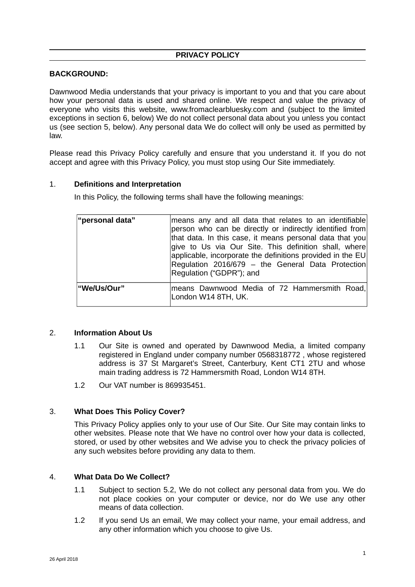# **PRIVACY POLICY**

### **BACKGROUND:**

Dawnwood Media understands that your privacy is important to you and that you care about how your personal data is used and shared online. We respect and value the privacy of everyone who visits this website, www.fromaclearbluesky.com and (subject to the limited exceptions in section 6, below) We do not collect personal data about you unless you contact us (see section 5, below). Any personal data We do collect will only be used as permitted by law.

Please read this Privacy Policy carefully and ensure that you understand it. If you do not accept and agree with this Privacy Policy, you must stop using Our Site immediately.

#### 1. **Definitions and Interpretation**

In this Policy, the following terms shall have the following meanings:

| "personal data" | means any and all data that relates to an identifiable<br>person who can be directly or indirectly identified from<br>that data. In this case, it means personal data that you<br>give to Us via Our Site. This definition shall, where<br>$ $ applicable, incorporate the definitions provided in the EU<br>Regulation 2016/679 - the General Data Protection<br>Regulation ("GDPR"); and |
|-----------------|--------------------------------------------------------------------------------------------------------------------------------------------------------------------------------------------------------------------------------------------------------------------------------------------------------------------------------------------------------------------------------------------|
| "We/Us/Our"     | means Dawnwood Media of 72 Hammersmith Road,<br>London W14 8TH, UK.                                                                                                                                                                                                                                                                                                                        |

#### 2. **Information About Us**

- 1.1 Our Site is owned and operated by Dawnwood Media, a limited company registered in England under company number 0568318772 , whose registered address is 37 St Margaret's Street, Canterbury, Kent CT1 2TU and whose main trading address is 72 Hammersmith Road, London W14 8TH.
- 1.2 Our VAT number is 869935451.

# 3. **What Does This Policy Cover?**

This Privacy Policy applies only to your use of Our Site. Our Site may contain links to other websites. Please note that We have no control over how your data is collected, stored, or used by other websites and We advise you to check the privacy policies of any such websites before providing any data to them.

#### 4. **What Data Do We Collect?**

- 1.1 Subject to section 5.2, We do not collect any personal data from you. We do not place cookies on your computer or device, nor do We use any other means of data collection.
- 1.2 If you send Us an email, We may collect your name, your email address, and any other information which you choose to give Us.